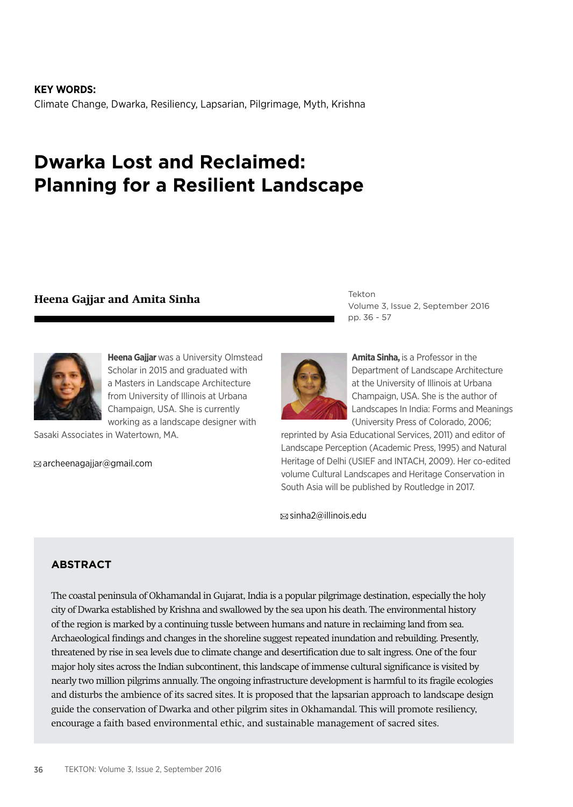**KEY WORDS:** Climate Change, Dwarka, Resiliency, Lapsarian, Pilgrimage, Myth, Krishna

# **Dwarka Lost and Reclaimed: Planning for a Resilient Landscape**

# **Heena Gajjar and Amita Sinha**



**Heena Gajjar** was a University Olmstead Scholar in 2015 and graduated with a Masters in Landscape Architecture from University of Illinois at Urbana Champaign, USA. She is currently working as a landscape designer with

Sasaki Associates in Watertown, MA.

 $\boxtimes$  archeenagajjar@gmail.com

Tekton Volume 3, Issue 2, September 2016 pp. 36 - 57



**Amita Sinha,** is a Professor in the Department of Landscape Architecture at the University of Illinois at Urbana Champaign, USA. She is the author of Landscapes In India: Forms and Meanings (University Press of Colorado, 2006;

reprinted by Asia Educational Services, 2011) and editor of Landscape Perception (Academic Press, 1995) and Natural Heritage of Delhi (USIEF and INTACH, 2009). Her co-edited volume Cultural Landscapes and Heritage Conservation in South Asia will be published by Routledge in 2017.

sinha2@illinois.edu

### **ABSTRACT**

The coastal peninsula of Okhamandal in Gujarat, India is a popular pilgrimage destination, especially the holy city of Dwarka established by Krishna and swallowed by the sea upon his death. The environmental history of the region is marked by a continuing tussle between humans and nature in reclaiming land from sea. Archaeological findings and changes in the shoreline suggest repeated inundation and rebuilding. Presently, threatened by rise in sea levels due to climate change and desertification due to salt ingress. One of the four major holy sites across the Indian subcontinent, this landscape of immense cultural significance is visited by nearly two million pilgrims annually. The ongoing infrastructure development is harmful to its fragile ecologies and disturbs the ambience of its sacred sites. It is proposed that the lapsarian approach to landscape design guide the conservation of Dwarka and other pilgrim sites in Okhamandal. This will promote resiliency, encourage a faith based environmental ethic, and sustainable management of sacred sites.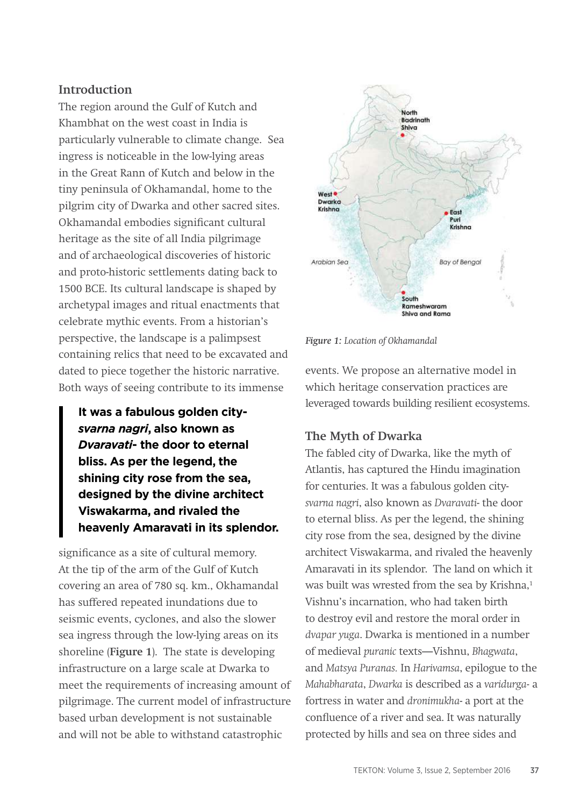#### **Introduction**

The region around the Gulf of Kutch and Khambhat on the west coast in India is particularly vulnerable to climate change. Sea ingress is noticeable in the low-lying areas in the Great Rann of Kutch and below in the tiny peninsula of Okhamandal, home to the pilgrim city of Dwarka and other sacred sites. Okhamandal embodies significant cultural heritage as the site of all India pilgrimage and of archaeological discoveries of historic and proto-historic settlements dating back to 1500 BCE. Its cultural landscape is shaped by archetypal images and ritual enactments that celebrate mythic events. From a historian's perspective, the landscape is a palimpsest containing relics that need to be excavated and dated to piece together the historic narrative. Both ways of seeing contribute to its immense

**It was a fabulous golden city***svarna nagri***, also known as**  *Dvaravati***- the door to eternal bliss. As per the legend, the shining city rose from the sea, designed by the divine architect Viswakarma, and rivaled the heavenly Amaravati in its splendor.** 

significance as a site of cultural memory. At the tip of the arm of the Gulf of Kutch covering an area of 780 sq. km., Okhamandal has suffered repeated inundations due to seismic events, cyclones, and also the slower sea ingress through the low-lying areas on its shoreline (**Figure 1**). The state is developing infrastructure on a large scale at Dwarka to meet the requirements of increasing amount of pilgrimage. The current model of infrastructure based urban development is not sustainable and will not be able to withstand catastrophic



*Figure 1: Location of Okhamandal*

events. We propose an alternative model in which heritage conservation practices are leveraged towards building resilient ecosystems.

#### **The Myth of Dwarka**

The fabled city of Dwarka, like the myth of Atlantis, has captured the Hindu imagination for centuries. It was a fabulous golden city*svarna nagri*, also known as *Dvaravati*- the door to eternal bliss. As per the legend, the shining city rose from the sea, designed by the divine architect Viswakarma, and rivaled the heavenly Amaravati in its splendor. The land on which it was built was wrested from the sea by Krishna,<sup>1</sup> Vishnu's incarnation, who had taken birth to destroy evil and restore the moral order in *dvapar yuga*. Dwarka is mentioned in a number of medieval *puranic* texts—Vishnu, *Bhagwata*, and *Matsya Puranas.* In *Harivamsa*, epilogue to the *Mahabharata*, *Dwarka* is described as a *varidurga-* a fortress in water and *dronimukha*- a port at the confluence of a river and sea. It was naturally protected by hills and sea on three sides and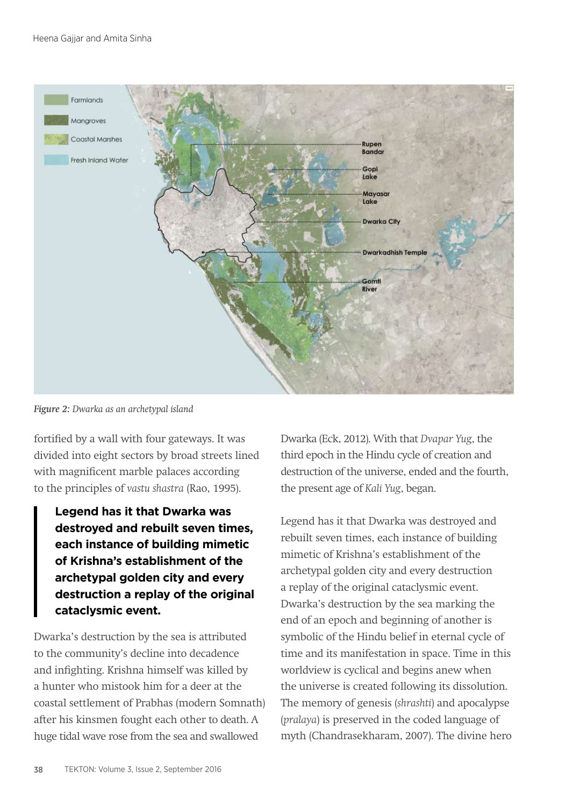

*Figure 2: Dwarka as an archetypal island* 

fortified by a wall with four gateways. It was divided into eight sectors by broad streets lined with magnificent marble palaces according to the principles of *vastu shastra* (Rao, 1995).

**Legend has it that Dwarka was destroyed and rebuilt seven times, each instance of building mimetic of Krishna's establishment of the archetypal golden city and every destruction a replay of the original cataclysmic event.** 

Dwarka's destruction by the sea is attributed to the community's decline into decadence and infighting. Krishna himself was killed by a hunter who mistook him for a deer at the coastal settlement of Prabhas (modern Somnath) after his kinsmen fought each other to death. A huge tidal wave rose from the sea and swallowed

Dwarka (Eck, 2012). With that *Dvapar Yug*, the third epoch in the Hindu cycle of creation and destruction of the universe, ended and the fourth, the present age of *Kali Yug*, began.

Legend has it that Dwarka was destroyed and rebuilt seven times, each instance of building mimetic of Krishna's establishment of the archetypal golden city and every destruction a replay of the original cataclysmic event. Dwarka's destruction by the sea marking the end of an epoch and beginning of another is symbolic of the Hindu belief in eternal cycle of time and its manifestation in space. Time in this worldview is cyclical and begins anew when the universe is created following its dissolution. The memory of genesis (*shrashti*) and apocalypse (*pralaya*) is preserved in the coded language of myth (Chandrasekharam, 2007). The divine hero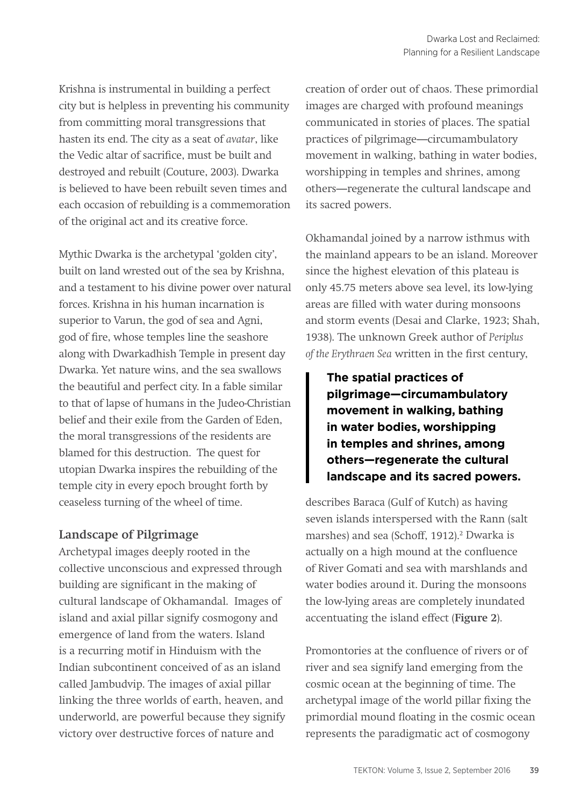Krishna is instrumental in building a perfect city but is helpless in preventing his community from committing moral transgressions that hasten its end. The city as a seat of *avatar*, like the Vedic altar of sacrifice, must be built and destroyed and rebuilt (Couture, 2003). Dwarka is believed to have been rebuilt seven times and each occasion of rebuilding is a commemoration of the original act and its creative force.

Mythic Dwarka is the archetypal 'golden city', built on land wrested out of the sea by Krishna, and a testament to his divine power over natural forces. Krishna in his human incarnation is superior to Varun, the god of sea and Agni, god of fire, whose temples line the seashore along with Dwarkadhish Temple in present day Dwarka. Yet nature wins, and the sea swallows the beautiful and perfect city. In a fable similar to that of lapse of humans in the Judeo-Christian belief and their exile from the Garden of Eden, the moral transgressions of the residents are blamed for this destruction. The quest for utopian Dwarka inspires the rebuilding of the temple city in every epoch brought forth by ceaseless turning of the wheel of time.

### **Landscape of Pilgrimage**

Archetypal images deeply rooted in the collective unconscious and expressed through building are significant in the making of cultural landscape of Okhamandal. Images of island and axial pillar signify cosmogony and emergence of land from the waters. Island is a recurring motif in Hinduism with the Indian subcontinent conceived of as an island called Jambudvip. The images of axial pillar linking the three worlds of earth, heaven, and underworld, are powerful because they signify victory over destructive forces of nature and

creation of order out of chaos. These primordial images are charged with profound meanings communicated in stories of places. The spatial practices of pilgrimage—circumambulatory movement in walking, bathing in water bodies, worshipping in temples and shrines, among others—regenerate the cultural landscape and its sacred powers.

Okhamandal joined by a narrow isthmus with the mainland appears to be an island. Moreover since the highest elevation of this plateau is only 45.75 meters above sea level, its low-lying areas are filled with water during monsoons and storm events (Desai and Clarke, 1923; Shah, 1938). The unknown Greek author of *Periplus of the Erythraen Sea* written in the first century,

**The spatial practices of pilgrimage—circumambulatory movement in walking, bathing in water bodies, worshipping in temples and shrines, among others—regenerate the cultural landscape and its sacred powers.** 

describes Baraca (Gulf of Kutch) as having seven islands interspersed with the Rann (salt marshes) and sea (Schoff, 1912).<sup>2</sup> Dwarka is actually on a high mound at the confluence of River Gomati and sea with marshlands and water bodies around it. During the monsoons the low-lying areas are completely inundated accentuating the island effect (**Figure 2**).

Promontories at the confluence of rivers or of river and sea signify land emerging from the cosmic ocean at the beginning of time. The archetypal image of the world pillar fixing the primordial mound floating in the cosmic ocean represents the paradigmatic act of cosmogony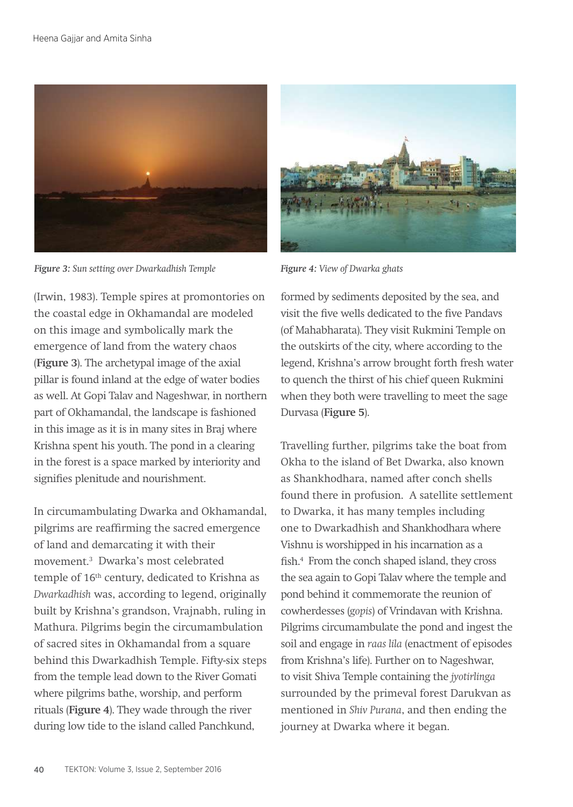

*Figure 3: Sun setting over Dwarkadhish Temple Figure 4: View of Dwarka ghats* 

(Irwin, 1983). Temple spires at promontories on the coastal edge in Okhamandal are modeled on this image and symbolically mark the emergence of land from the watery chaos (**Figure 3**). The archetypal image of the axial pillar is found inland at the edge of water bodies as well. At Gopi Talav and Nageshwar, in northern part of Okhamandal, the landscape is fashioned in this image as it is in many sites in Braj where Krishna spent his youth. The pond in a clearing in the forest is a space marked by interiority and signifies plenitude and nourishment.

In circumambulating Dwarka and Okhamandal, pilgrims are reaffirming the sacred emergence of land and demarcating it with their movement.3 Dwarka's most celebrated temple of 16th century, dedicated to Krishna as *Dwarkadhish* was, according to legend, originally built by Krishna's grandson, Vrajnabh, ruling in Mathura. Pilgrims begin the circumambulation of sacred sites in Okhamandal from a square behind this Dwarkadhish Temple. Fifty-six steps from the temple lead down to the River Gomati where pilgrims bathe, worship, and perform rituals (**Figure 4**). They wade through the river during low tide to the island called Panchkund,



formed by sediments deposited by the sea, and visit the five wells dedicated to the five Pandavs (of Mahabharata). They visit Rukmini Temple on the outskirts of the city, where according to the legend, Krishna's arrow brought forth fresh water to quench the thirst of his chief queen Rukmini when they both were travelling to meet the sage Durvasa (**Figure 5**).

Travelling further, pilgrims take the boat from Okha to the island of Bet Dwarka, also known as Shankhodhara, named after conch shells found there in profusion. A satellite settlement to Dwarka, it has many temples including one to Dwarkadhish and Shankhodhara where Vishnu is worshipped in his incarnation as a fish.4 From the conch shaped island, they cross the sea again to Gopi Talav where the temple and pond behind it commemorate the reunion of cowherdesses (*gopis*) of Vrindavan with Krishna. Pilgrims circumambulate the pond and ingest the soil and engage in *raas lila* (enactment of episodes from Krishna's life). Further on to Nageshwar, to visit Shiva Temple containing the *jyotirlinga*  surrounded by the primeval forest Darukvan as mentioned in *Shiv Purana*, and then ending the journey at Dwarka where it began.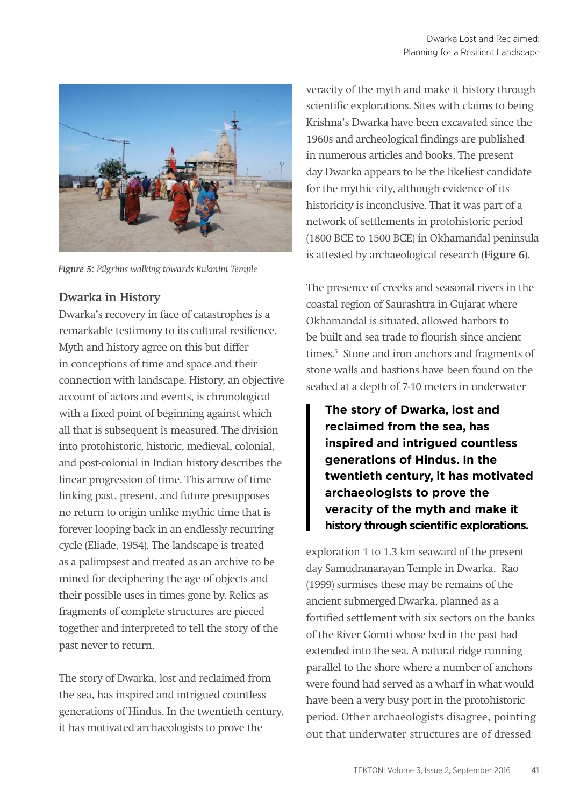

*Figure 5: Pilgrims walking towards Rukmini Temple* 

### **Dwarka in History**

Dwarka's recovery in face of catastrophes is a remarkable testimony to its cultural resilience. Myth and history agree on this but differ in conceptions of time and space and their connection with landscape. History, an objective account of actors and events, is chronological with a fixed point of beginning against which all that is subsequent is measured. The division into protohistoric, historic, medieval, colonial, and post-colonial in Indian history describes the linear progression of time. This arrow of time linking past, present, and future presupposes no return to origin unlike mythic time that is forever looping back in an endlessly recurring cycle (Eliade, 1954). The landscape is treated as a palimpsest and treated as an archive to be mined for deciphering the age of objects and their possible uses in times gone by. Relics as fragments of complete structures are pieced together and interpreted to tell the story of the past never to return.

The story of Dwarka, lost and reclaimed from the sea, has inspired and intrigued countless generations of Hindus. In the twentieth century, it has motivated archaeologists to prove the

veracity of the myth and make it history through scientific explorations. Sites with claims to being Krishna's Dwarka have been excavated since the 1960s and archeological findings are published in numerous articles and books. The present day Dwarka appears to be the likeliest candidate for the mythic city, although evidence of its historicity is inconclusive. That it was part of a network of settlements in protohistoric period (1800 BCE to 1500 BCE) in Okhamandal peninsula is attested by archaeological research (**Figure 6**).

The presence of creeks and seasonal rivers in the coastal region of Saurashtra in Gujarat where Okhamandal is situated, allowed harbors to be built and sea trade to flourish since ancient times.<sup>5</sup> Stone and iron anchors and fragments of stone walls and bastions have been found on the seabed at a depth of 7-10 meters in underwater

**The story of Dwarka, lost and reclaimed from the sea, has inspired and intrigued countless generations of Hindus. In the twentieth century, it has motivated archaeologists to prove the veracity of the myth and make it history through scientific explorations.**

exploration 1 to 1.3 km seaward of the present day Samudranarayan Temple in Dwarka. Rao (1999) surmises these may be remains of the ancient submerged Dwarka, planned as a fortified settlement with six sectors on the banks of the River Gomti whose bed in the past had extended into the sea. A natural ridge running parallel to the shore where a number of anchors were found had served as a wharf in what would have been a very busy port in the protohistoric period. Other archaeologists disagree, pointing out that underwater structures are of dressed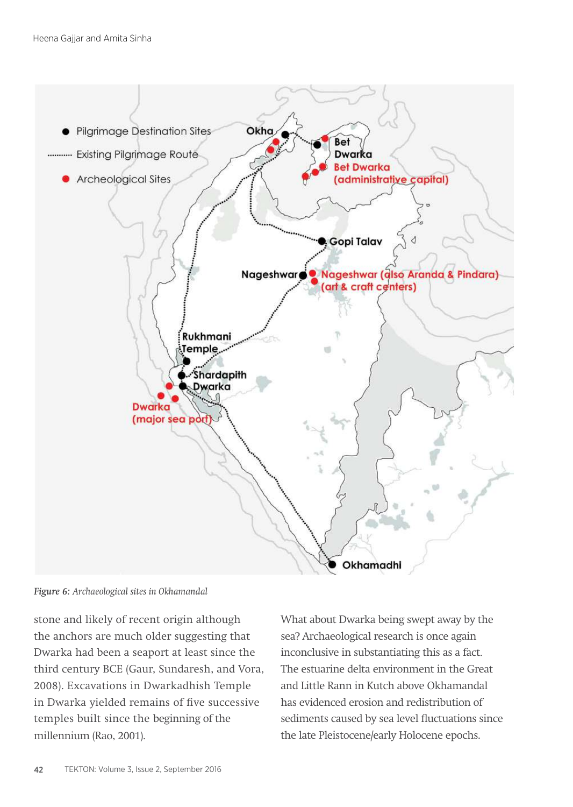

*Figure 6: Archaeological sites in Okhamandal* 

stone and likely of recent origin although the anchors are much older suggesting that Dwarka had been a seaport at least since the third century BCE (Gaur, Sundaresh, and Vora, 2008). Excavations in Dwarkadhish Temple in Dwarka yielded remains of five successive temples built since the beginning of the millennium (Rao, 2001).

What about Dwarka being swept away by the sea? Archaeological research is once again inconclusive in substantiating this as a fact. The estuarine delta environment in the Great and Little Rann in Kutch above Okhamandal has evidenced erosion and redistribution of sediments caused by sea level fluctuations since the late Pleistocene/early Holocene epochs.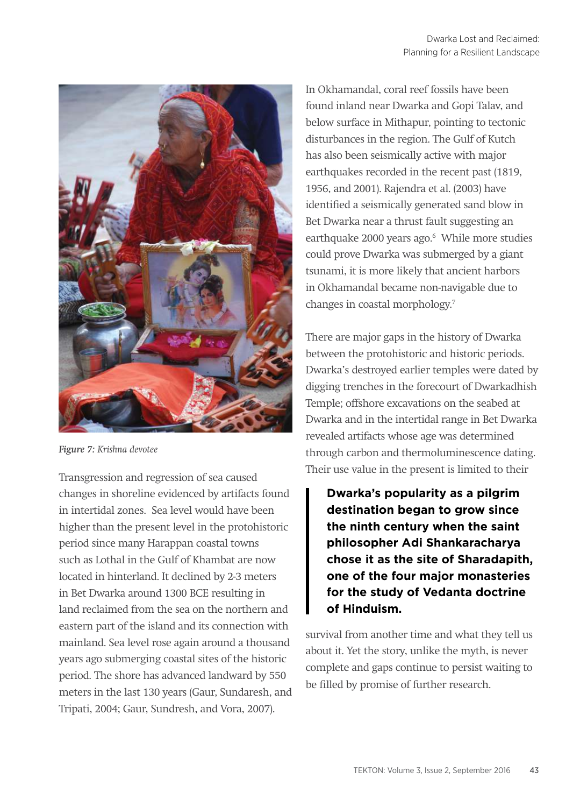

*Figure 7: Krishna devotee*

Transgression and regression of sea caused changes in shoreline evidenced by artifacts found in intertidal zones. Sea level would have been higher than the present level in the protohistoric period since many Harappan coastal towns such as Lothal in the Gulf of Khambat are now located in hinterland. It declined by 2-3 meters in Bet Dwarka around 1300 BCE resulting in land reclaimed from the sea on the northern and eastern part of the island and its connection with mainland. Sea level rose again around a thousand years ago submerging coastal sites of the historic period. The shore has advanced landward by 550 meters in the last 130 years (Gaur, Sundaresh, and Tripati, 2004; Gaur, Sundresh, and Vora, 2007).

In Okhamandal, coral reef fossils have been found inland near Dwarka and Gopi Talav, and below surface in Mithapur, pointing to tectonic disturbances in the region. The Gulf of Kutch has also been seismically active with major earthquakes recorded in the recent past (1819, 1956, and 2001). Rajendra et al. (2003) have identified a seismically generated sand blow in Bet Dwarka near a thrust fault suggesting an earthquake 2000 years ago.6 While more studies could prove Dwarka was submerged by a giant tsunami, it is more likely that ancient harbors in Okhamandal became non-navigable due to changes in coastal morphology.7

There are major gaps in the history of Dwarka between the protohistoric and historic periods. Dwarka's destroyed earlier temples were dated by digging trenches in the forecourt of Dwarkadhish Temple; offshore excavations on the seabed at Dwarka and in the intertidal range in Bet Dwarka revealed artifacts whose age was determined through carbon and thermoluminescence dating. Their use value in the present is limited to their

**Dwarka's popularity as a pilgrim destination began to grow since the ninth century when the saint philosopher Adi Shankaracharya chose it as the site of Sharadapith, one of the four major monasteries for the study of Vedanta doctrine of Hinduism.** 

survival from another time and what they tell us about it. Yet the story, unlike the myth, is never complete and gaps continue to persist waiting to be filled by promise of further research.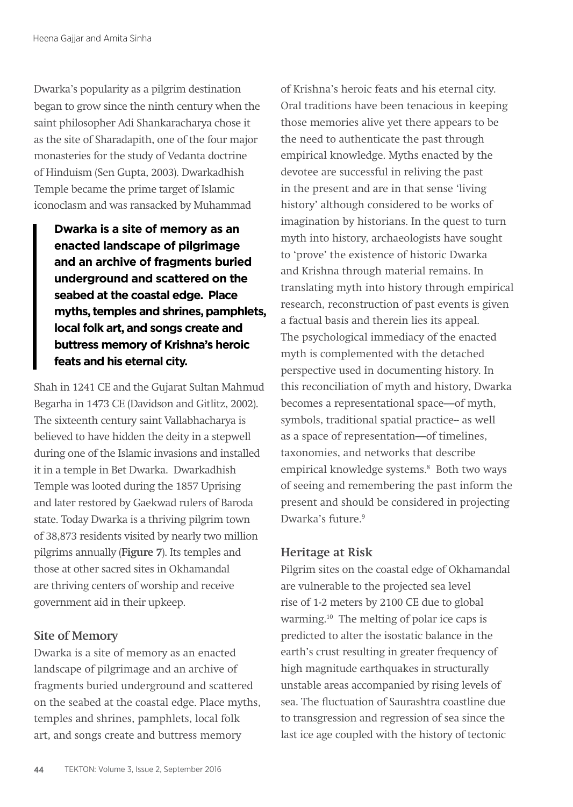Dwarka's popularity as a pilgrim destination began to grow since the ninth century when the saint philosopher Adi Shankaracharya chose it as the site of Sharadapith, one of the four major monasteries for the study of Vedanta doctrine of Hinduism (Sen Gupta, 2003). Dwarkadhish Temple became the prime target of Islamic iconoclasm and was ransacked by Muhammad

**Dwarka is a site of memory as an enacted landscape of pilgrimage and an archive of fragments buried underground and scattered on the seabed at the coastal edge. Place myths, temples and shrines, pamphlets, local folk art, and songs create and buttress memory of Krishna's heroic feats and his eternal city.**

Shah in 1241 CE and the Gujarat Sultan Mahmud Begarha in 1473 CE (Davidson and Gitlitz, 2002). The sixteenth century saint Vallabhacharya is believed to have hidden the deity in a stepwell during one of the Islamic invasions and installed it in a temple in Bet Dwarka. Dwarkadhish Temple was looted during the 1857 Uprising and later restored by Gaekwad rulers of Baroda state. Today Dwarka is a thriving pilgrim town of 38,873 residents visited by nearly two million pilgrims annually (**Figure 7**). Its temples and those at other sacred sites in Okhamandal are thriving centers of worship and receive government aid in their upkeep.

#### **Site of Memory**

Dwarka is a site of memory as an enacted landscape of pilgrimage and an archive of fragments buried underground and scattered on the seabed at the coastal edge. Place myths, temples and shrines, pamphlets, local folk art, and songs create and buttress memory

of Krishna's heroic feats and his eternal city. Oral traditions have been tenacious in keeping those memories alive yet there appears to be the need to authenticate the past through empirical knowledge. Myths enacted by the devotee are successful in reliving the past in the present and are in that sense 'living history' although considered to be works of imagination by historians. In the quest to turn myth into history, archaeologists have sought to 'prove' the existence of historic Dwarka and Krishna through material remains. In translating myth into history through empirical research, reconstruction of past events is given a factual basis and therein lies its appeal. The psychological immediacy of the enacted myth is complemented with the detached perspective used in documenting history. In this reconciliation of myth and history, Dwarka becomes a representational space—of myth, symbols, traditional spatial practice-- as well as a space of representation—of timelines, taxonomies, and networks that describe empirical knowledge systems.<sup>8</sup> Both two ways of seeing and remembering the past inform the present and should be considered in projecting Dwarka's future.<sup>9</sup>

### **Heritage at Risk**

Pilgrim sites on the coastal edge of Okhamandal are vulnerable to the projected sea level rise of 1-2 meters by 2100 CE due to global warming.10 The melting of polar ice caps is predicted to alter the isostatic balance in the earth's crust resulting in greater frequency of high magnitude earthquakes in structurally unstable areas accompanied by rising levels of sea. The fluctuation of Saurashtra coastline due to transgression and regression of sea since the last ice age coupled with the history of tectonic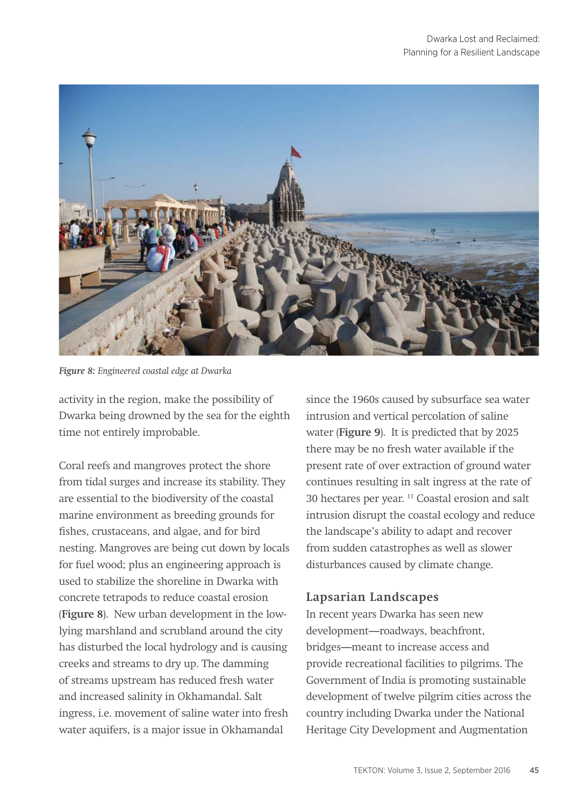

*Figure 8: Engineered coastal edge at Dwarka*

activity in the region, make the possibility of Dwarka being drowned by the sea for the eighth time not entirely improbable.

Coral reefs and mangroves protect the shore from tidal surges and increase its stability. They are essential to the biodiversity of the coastal marine environment as breeding grounds for fishes, crustaceans, and algae, and for bird nesting. Mangroves are being cut down by locals for fuel wood; plus an engineering approach is used to stabilize the shoreline in Dwarka with concrete tetrapods to reduce coastal erosion (**Figure 8**). New urban development in the lowlying marshland and scrubland around the city has disturbed the local hydrology and is causing creeks and streams to dry up. The damming of streams upstream has reduced fresh water and increased salinity in Okhamandal. Salt ingress, i.e. movement of saline water into fresh water aquifers, is a major issue in Okhamandal

since the 1960s caused by subsurface sea water intrusion and vertical percolation of saline water (**Figure 9**). It is predicted that by 2025 there may be no fresh water available if the present rate of over extraction of ground water continues resulting in salt ingress at the rate of 30 hectares per year. 11 Coastal erosion and salt intrusion disrupt the coastal ecology and reduce the landscape's ability to adapt and recover from sudden catastrophes as well as slower disturbances caused by climate change.

## **Lapsarian Landscapes**

In recent years Dwarka has seen new development—roadways, beachfront, bridges—meant to increase access and provide recreational facilities to pilgrims. The Government of India is promoting sustainable development of twelve pilgrim cities across the country including Dwarka under the National Heritage City Development and Augmentation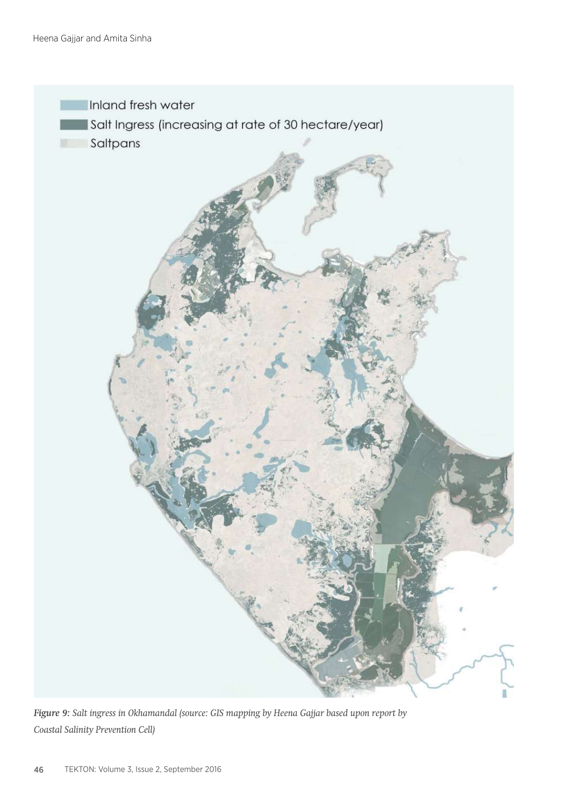

*Figure 9: Salt ingress in Okhamandal (source: GIS mapping by Heena Gajjar based upon report by Coastal Salinity Prevention Cell)*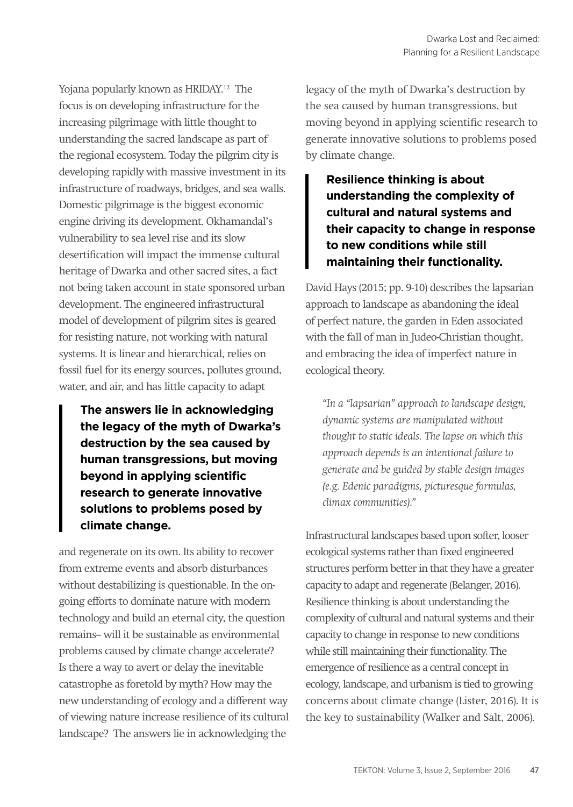Yojana popularly known as HRIDAY.12 The focus is on developing infrastructure for the increasing pilgrimage with little thought to understanding the sacred landscape as part of the regional ecosystem. Today the pilgrim city is developing rapidly with massive investment in its infrastructure of roadways, bridges, and sea walls. Domestic pilgrimage is the biggest economic engine driving its development. Okhamandal's vulnerability to sea level rise and its slow desertification will impact the immense cultural heritage of Dwarka and other sacred sites, a fact not being taken account in state sponsored urban development. The engineered infrastructural model of development of pilgrim sites is geared for resisting nature, not working with natural systems. It is linear and hierarchical, relies on fossil fuel for its energy sources, pollutes ground, water, and air, and has little capacity to adapt

**The answers lie in acknowledging the legacy of the myth of Dwarka's destruction by the sea caused by human transgressions, but moving beyond in applying scientific research to generate innovative solutions to problems posed by climate change.**

and regenerate on its own. Its ability to recover from extreme events and absorb disturbances without destabilizing is questionable. In the ongoing efforts to dominate nature with modern technology and build an eternal city, the question remains-- will it be sustainable as environmental problems caused by climate change accelerate? Is there a way to avert or delay the inevitable catastrophe as foretold by myth? How may the new understanding of ecology and a different way of viewing nature increase resilience of its cultural landscape? The answers lie in acknowledging the

legacy of the myth of Dwarka's destruction by the sea caused by human transgressions, but moving beyond in applying scientific research to generate innovative solutions to problems posed by climate change.

**Resilience thinking is about understanding the complexity of cultural and natural systems and their capacity to change in response to new conditions while still maintaining their functionality.** 

David Hays (2015; pp. 9-10) describes the lapsarian approach to landscape as abandoning the ideal of perfect nature, the garden in Eden associated with the fall of man in Judeo-Christian thought, and embracing the idea of imperfect nature in ecological theory.

*"In a "lapsarian" approach to landscape design, dynamic systems are manipulated without thought to static ideals. The lapse on which this approach depends is an intentional failure to generate and be guided by stable design images (e.g. Edenic paradigms, picturesque formulas, climax communities)."*

Infrastructural landscapes based upon softer, looser ecological systems rather than fixed engineered structures perform better in that they have a greater capacity to adapt and regenerate (Belanger, 2016). Resilience thinking is about understanding the complexity of cultural and natural systems and their capacity to change in response to new conditions while still maintaining their functionality. The emergence of resilience as a central concept in ecology, landscape, and urbanism is tied to growing concerns about climate change (Lister, 2016). It is the key to sustainability (Walker and Salt, 2006).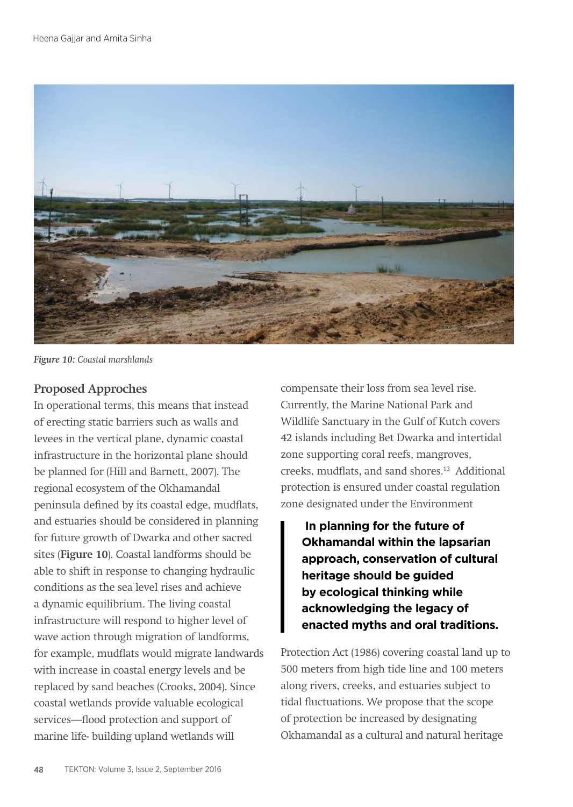

*Figure 10: Coastal marshlands*

## **Proposed Approches**

In operational terms, this means that instead of erecting static barriers such as walls and levees in the vertical plane, dynamic coastal infrastructure in the horizontal plane should be planned for (Hill and Barnett, 2007). The regional ecosystem of the Okhamandal peninsula defined by its coastal edge, mudflats, and estuaries should be considered in planning for future growth of Dwarka and other sacred sites (**Figure 10**). Coastal landforms should be able to shift in response to changing hydraulic conditions as the sea level rises and achieve a dynamic equilibrium. The living coastal infrastructure will respond to higher level of wave action through migration of landforms, for example, mudflats would migrate landwards with increase in coastal energy levels and be replaced by sand beaches (Crooks, 2004). Since coastal wetlands provide valuable ecological services—flood protection and support of marine life- building upland wetlands will

compensate their loss from sea level rise. Currently, the Marine National Park and Wildlife Sanctuary in the Gulf of Kutch covers 42 islands including Bet Dwarka and intertidal zone supporting coral reefs, mangroves, creeks, mudflats, and sand shores.13 Additional protection is ensured under coastal regulation zone designated under the Environment

 **In planning for the future of Okhamandal within the lapsarian approach, conservation of cultural heritage should be guided by ecological thinking while acknowledging the legacy of enacted myths and oral traditions.** 

Protection Act (1986) covering coastal land up to 500 meters from high tide line and 100 meters along rivers, creeks, and estuaries subject to tidal fluctuations. We propose that the scope of protection be increased by designating Okhamandal as a cultural and natural heritage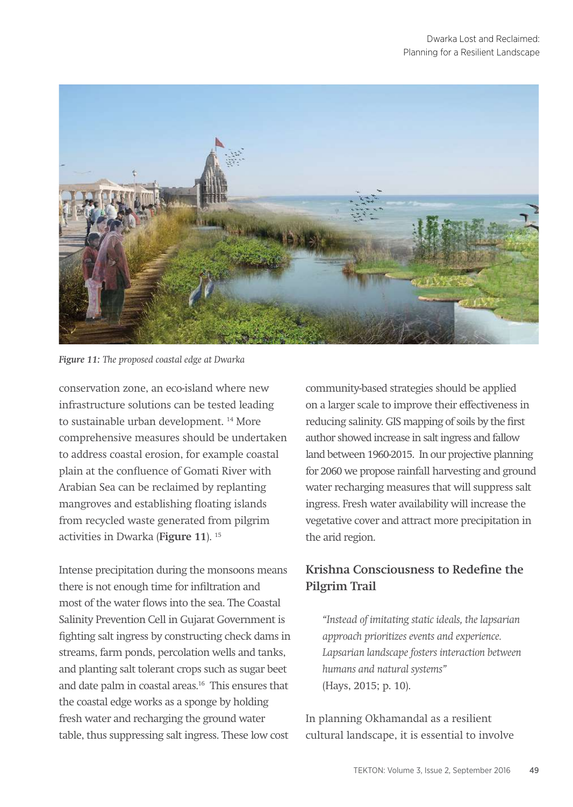

*Figure 11: The proposed coastal edge at Dwarka*

conservation zone, an eco-island where new infrastructure solutions can be tested leading to sustainable urban development. 14 More comprehensive measures should be undertaken to address coastal erosion, for example coastal plain at the confluence of Gomati River with Arabian Sea can be reclaimed by replanting mangroves and establishing floating islands from recycled waste generated from pilgrim activities in Dwarka (**Figure 11**). 15

Intense precipitation during the monsoons means there is not enough time for infiltration and most of the water flows into the sea. The Coastal Salinity Prevention Cell in Gujarat Government is fighting salt ingress by constructing check dams in streams, farm ponds, percolation wells and tanks, and planting salt tolerant crops such as sugar beet and date palm in coastal areas.16 This ensures that the coastal edge works as a sponge by holding fresh water and recharging the ground water table, thus suppressing salt ingress. These low cost

community-based strategies should be applied on a larger scale to improve their effectiveness in reducing salinity. GIS mapping of soils by the first author showed increase in salt ingress and fallow land between 1960-2015. In our projective planning for 2060 we propose rainfall harvesting and ground water recharging measures that will suppress salt ingress. Fresh water availability will increase the vegetative cover and attract more precipitation in the arid region.

# **Krishna Consciousness to Redefine the Pilgrim Trail**

*"Instead of imitating static ideals, the lapsarian approach prioritizes events and experience. Lapsarian landscape fosters interaction between humans and natural systems"* (Hays, 2015; p. 10).

In planning Okhamandal as a resilient cultural landscape, it is essential to involve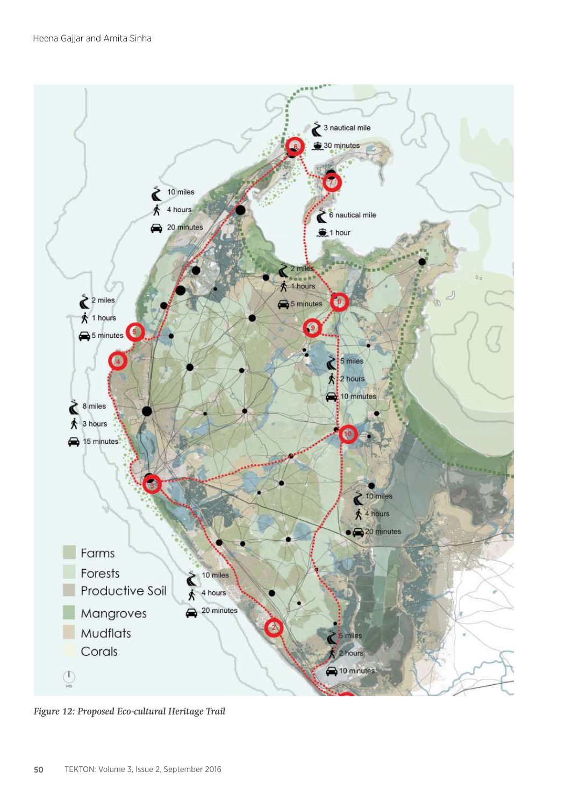

*Figure 12: Proposed Eco-cultural Heritage Trail*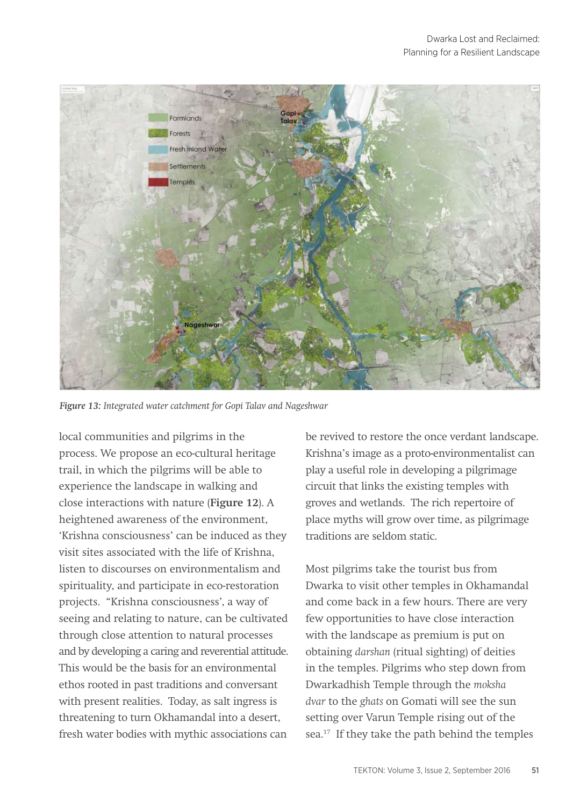

*Figure 13: Integrated water catchment for Gopi Talav and Nageshwar*

local communities and pilgrims in the process. We propose an eco-cultural heritage trail, in which the pilgrims will be able to experience the landscape in walking and close interactions with nature (**Figure 12**). A heightened awareness of the environment, 'Krishna consciousness' can be induced as they visit sites associated with the life of Krishna, listen to discourses on environmentalism and spirituality, and participate in eco-restoration projects. "Krishna consciousness', a way of seeing and relating to nature, can be cultivated through close attention to natural processes and by developing a caring and reverential attitude. This would be the basis for an environmental ethos rooted in past traditions and conversant with present realities. Today, as salt ingress is threatening to turn Okhamandal into a desert, fresh water bodies with mythic associations can

be revived to restore the once verdant landscape. Krishna's image as a proto-environmentalist can play a useful role in developing a pilgrimage circuit that links the existing temples with groves and wetlands. The rich repertoire of place myths will grow over time, as pilgrimage traditions are seldom static.

Most pilgrims take the tourist bus from Dwarka to visit other temples in Okhamandal and come back in a few hours. There are very few opportunities to have close interaction with the landscape as premium is put on obtaining *darshan* (ritual sighting) of deities in the temples. Pilgrims who step down from Dwarkadhish Temple through the *moksha dvar* to the *ghats* on Gomati will see the sun setting over Varun Temple rising out of the sea.<sup>17</sup> If they take the path behind the temples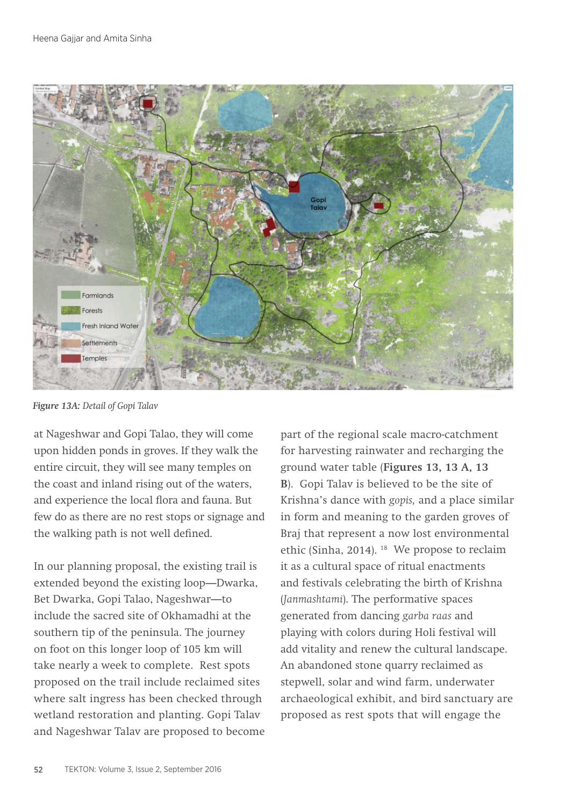

*Figure 13A: Detail of Gopi Talav* 

at Nageshwar and Gopi Talao, they will come upon hidden ponds in groves. If they walk the entire circuit, they will see many temples on the coast and inland rising out of the waters, and experience the local flora and fauna. But few do as there are no rest stops or signage and the walking path is not well defined.

In our planning proposal, the existing trail is extended beyond the existing loop—Dwarka, Bet Dwarka, Gopi Talao, Nageshwar—to include the sacred site of Okhamadhi at the southern tip of the peninsula. The journey on foot on this longer loop of 105 km will take nearly a week to complete. Rest spots proposed on the trail include reclaimed sites where salt ingress has been checked through wetland restoration and planting. Gopi Talav and Nageshwar Talav are proposed to become part of the regional scale macro-catchment for harvesting rainwater and recharging the ground water table (**Figures 13, 13 A, 13 B**). Gopi Talav is believed to be the site of Krishna's dance with *gopis,* and a place similar in form and meaning to the garden groves of Braj that represent a now lost environmental ethic (Sinha, 2014). 18 We propose to reclaim it as a cultural space of ritual enactments and festivals celebrating the birth of Krishna (*Janmashtami*). The performative spaces generated from dancing *garba raas* and playing with colors during Holi festival will add vitality and renew the cultural landscape. An abandoned stone quarry reclaimed as stepwell, solar and wind farm, underwater archaeological exhibit, and bird sanctuary are proposed as rest spots that will engage the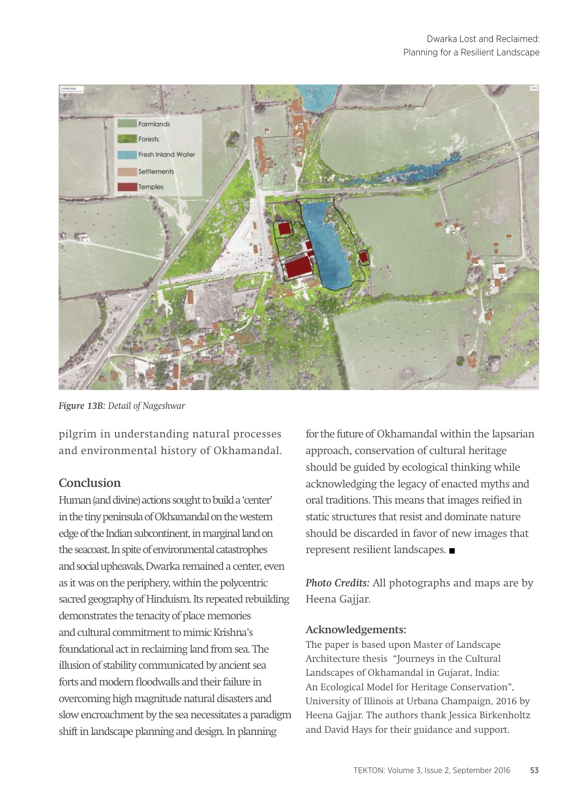

*Figure 13B: Detail of Nageshwar* 

pilgrim in understanding natural processes and environmental history of Okhamandal.

### **Conclusion**

Human (and divine) actions sought to build a 'center' in the tiny peninsula of Okhamandal on the western edge of the Indian subcontinent, in marginal land on the seacoast. In spite of environmental catastrophes and social upheavals, Dwarka remained a center, even as it was on the periphery, within the polycentric sacred geography of Hinduism. Its repeated rebuilding demonstrates the tenacity of place memories and cultural commitment to mimic Krishna's foundational act in reclaiming land from sea. The illusion of stability communicated by ancient sea forts and modern floodwalls and their failure in overcoming high magnitude natural disasters and slow encroachment by the sea necessitates a paradigm shift in landscape planning and design. In planning

for the future of Okhamandal within the lapsarian approach, conservation of cultural heritage should be guided by ecological thinking while acknowledging the legacy of enacted myths and oral traditions. This means that images reified in static structures that resist and dominate nature should be discarded in favor of new images that represent resilient landscapes.

*Photo Credits:* All photographs and maps are by Heena Gajjar.

#### **Acknowledgements:**

The paper is based upon Master of Landscape Architecture thesis "Journeys in the Cultural Landscapes of Okhamandal in Gujarat, India: An Ecological Model for Heritage Conservation", University of Illinois at Urbana Champaign, 2016 by Heena Gajjar. The authors thank Jessica Birkenholtz and David Hays for their guidance and support.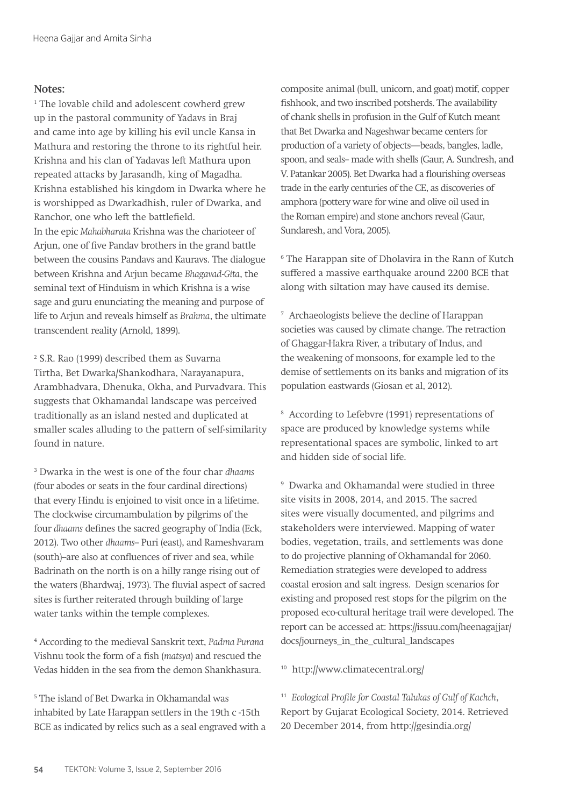#### **Notes:**

<sup>1</sup> The lovable child and adolescent cowherd grew up in the pastoral community of Yadavs in Braj and came into age by killing his evil uncle Kansa in Mathura and restoring the throne to its rightful heir. Krishna and his clan of Yadavas left Mathura upon repeated attacks by Jarasandh, king of Magadha. Krishna established his kingdom in Dwarka where he is worshipped as Dwarkadhish, ruler of Dwarka, and Ranchor, one who left the battlefield. In the epic *Mahabharata* Krishna was the charioteer of Arjun, one of five Pandav brothers in the grand battle between the cousins Pandavs and Kauravs. The dialogue between Krishna and Arjun became *Bhagavad-Gita*, the seminal text of Hinduism in which Krishna is a wise sage and guru enunciating the meaning and purpose of life to Arjun and reveals himself as *Brahma*, the ultimate transcendent reality (Arnold, 1899).

2 S.R. Rao (1999) described them as Suvarna Tirtha, Bet Dwarka/Shankodhara, Narayanapura, Arambhadvara, Dhenuka, Okha, and Purvadvara. This suggests that Okhamandal landscape was perceived traditionally as an island nested and duplicated at smaller scales alluding to the pattern of self-similarity found in nature.

3 Dwarka in the west is one of the four char *dhaams* (four abodes or seats in the four cardinal directions) that every Hindu is enjoined to visit once in a lifetime. The clockwise circumambulation by pilgrims of the four *dhaams* defines the sacred geography of India (Eck, 2012). Two other *dhaams*-- Puri (east), and Rameshvaram (south)-are also at confluences of river and sea, while Badrinath on the north is on a hilly range rising out of the waters (Bhardwaj, 1973). The fluvial aspect of sacred sites is further reiterated through building of large water tanks within the temple complexes.

4 According to the medieval Sanskrit text, *Padma Purana* Vishnu took the form of a fish (*matsya*) and rescued the Vedas hidden in the sea from the demon Shankhasura.

5 The island of Bet Dwarka in Okhamandal was inhabited by Late Harappan settlers in the 19th c -15th BCE as indicated by relics such as a seal engraved with a composite animal (bull, unicorn, and goat) motif, copper fishhook, and two inscribed potsherds. The availability of chank shells in profusion in the Gulf of Kutch meant that Bet Dwarka and Nageshwar became centers for production of a variety of objects—beads, bangles, ladle, spoon, and seals-- made with shells (Gaur, A. Sundresh, and V. Patankar 2005). Bet Dwarka had a flourishing overseas trade in the early centuries of the CE, as discoveries of amphora (pottery ware for wine and olive oil used in the Roman empire) and stone anchors reveal (Gaur, Sundaresh, and Vora, 2005).

6 The Harappan site of Dholavira in the Rann of Kutch suffered a massive earthquake around 2200 BCE that along with siltation may have caused its demise.

7 Archaeologists believe the decline of Harappan societies was caused by climate change. The retraction of Ghaggar-Hakra River, a tributary of Indus, and the weakening of monsoons, for example led to the demise of settlements on its banks and migration of its population eastwards (Giosan et al, 2012).

8 According to Lefebvre (1991) representations of space are produced by knowledge systems while representational spaces are symbolic, linked to art and hidden side of social life.

9 Dwarka and Okhamandal were studied in three site visits in 2008, 2014, and 2015. The sacred sites were visually documented, and pilgrims and stakeholders were interviewed. Mapping of water bodies, vegetation, trails, and settlements was done to do projective planning of Okhamandal for 2060. Remediation strategies were developed to address coastal erosion and salt ingress. Design scenarios for existing and proposed rest stops for the pilgrim on the proposed eco-cultural heritage trail were developed. The report can be accessed at: https://issuu.com/heenagajjar/ docs/journeys\_in\_the\_cultural\_landscapes

10 http://www.climatecentral.org/

<sup>11</sup> *Ecological Profile for Coastal Talukas of Gulf of Kachch*, Report by Gujarat Ecological Society, 2014. Retrieved 20 December 2014, from http://gesindia.org/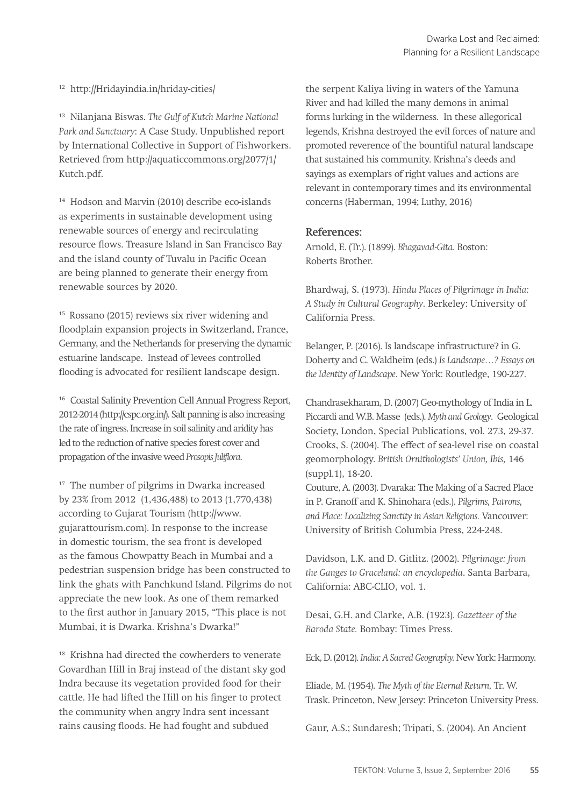12 http://Hridayindia.in/hriday-cities/

13 Nilanjana Biswas. *The Gulf of Kutch Marine National Park and Sanctuary*: A Case Study. Unpublished report by International Collective in Support of Fishworkers. Retrieved from http://aquaticcommons.org/2077/1/ Kutch.pdf.

14 Hodson and Marvin (2010) describe eco-islands as experiments in sustainable development using renewable sources of energy and recirculating resource flows. Treasure Island in San Francisco Bay and the island county of Tuvalu in Pacific Ocean are being planned to generate their energy from renewable sources by 2020.

15 Rossano (2015) reviews six river widening and floodplain expansion projects in Switzerland, France, Germany, and the Netherlands for preserving the dynamic estuarine landscape. Instead of levees controlled flooding is advocated for resilient landscape design.

16 Coastal Salinity Prevention Cell Annual Progress Report, 2012-2014 (http://cspc.org.in/). Salt panning is also increasing the rate of ingress. Increase in soil salinity and aridity has led to the reduction of native species forest cover and propagation of the invasive weed *Prosopis Juliflora*.

<sup>17</sup> The number of pilgrims in Dwarka increased by 23% from 2012 (1,436,488) to 2013 (1,770,438) according to Gujarat Tourism (http://www. gujarattourism.com). In response to the increase in domestic tourism, the sea front is developed as the famous Chowpatty Beach in Mumbai and a pedestrian suspension bridge has been constructed to link the ghats with Panchkund Island. Pilgrims do not appreciate the new look. As one of them remarked to the first author in January 2015, "This place is not Mumbai, it is Dwarka. Krishna's Dwarka!"

<sup>18</sup> Krishna had directed the cowherders to venerate Govardhan Hill in Braj instead of the distant sky god Indra because its vegetation provided food for their cattle. He had lifted the Hill on his finger to protect the community when angry Indra sent incessant rains causing floods. He had fought and subdued

the serpent Kaliya living in waters of the Yamuna River and had killed the many demons in animal forms lurking in the wilderness. In these allegorical legends, Krishna destroyed the evil forces of nature and promoted reverence of the bountiful natural landscape that sustained his community. Krishna's deeds and sayings as exemplars of right values and actions are relevant in contemporary times and its environmental concerns (Haberman, 1994; Luthy, 2016)

#### **References:**

Arnold, E. (Tr.). (1899). *Bhagavad-Gita*. Boston: Roberts Brother.

Bhardwaj, S. (1973). *Hindu Places of Pilgrimage in India: A Study in Cultural Geography*. Berkeley: University of California Press.

Belanger, P. (2016). Is landscape infrastructure? in G. Doherty and C. Waldheim (eds.) *Is Landscape…? Essays on the Identity of Landscape*. New York: Routledge, 190-227.

Chandrasekharam, D. (2007) Geo-mythology of India in L. Piccardi and W.B. Masse (eds.). *Myth and Geology*. Geological Society, London, Special Publications, vol. 273, 29-37. Crooks, S. (2004). The effect of sea-level rise on coastal geomorphology. *British Ornithologists' Union, Ibis,* 146 (suppl.1), 18-20.

Couture, A. (2003). Dvaraka: The Making of a Sacred Place in P. Granoff and K. Shinohara (eds.). *Pilgrims, Patrons, and Place: Localizing Sanctity in Asian Religions.* Vancouver: University of British Columbia Press, 224-248.

Davidson, L.K. and D. Gitlitz. (2002). *Pilgrimage: from the Ganges to Graceland: an encyclopedia*. Santa Barbara, California: ABC-CLIO, vol. 1.

Desai, G.H. and Clarke, A.B. (1923). *Gazetteer of the Baroda State.* Bombay: Times Press.

Eck, D. (2012). *India: A Sacred Geography.* New York: Harmony.

Eliade, M. (1954). *The Myth of the Eternal Return,* Tr. W. Trask. Princeton, New Jersey: Princeton University Press.

Gaur, A.S.; Sundaresh; Tripati, S. (2004). An Ancient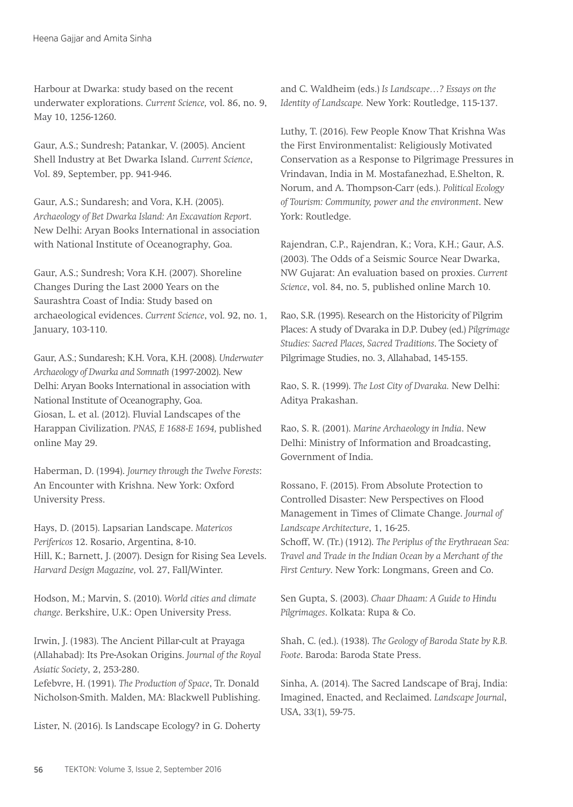Harbour at Dwarka: study based on the recent underwater explorations. *Current Science,* vol. 86, no. 9, May 10, 1256-1260.

Gaur, A.S.; Sundresh; Patankar, V. (2005). Ancient Shell Industry at Bet Dwarka Island. *Current Science*, Vol. 89, September, pp. 941-946.

Gaur, A.S.; Sundaresh; and Vora, K.H. (2005). *Archaeology of Bet Dwarka Island: An Excavation Report*. New Delhi: Aryan Books International in association with National Institute of Oceanography, Goa.

Gaur, A.S.; Sundresh; Vora K.H. (2007). Shoreline Changes During the Last 2000 Years on the Saurashtra Coast of India: Study based on archaeological evidences. *Current Science*, vol. 92, no. 1, January, 103-110.

Gaur, A.S.; Sundaresh; K.H. Vora, K.H. (2008). *Underwater Archaeology of Dwarka and Somnath* (1997-2002). New Delhi: Aryan Books International in association with National Institute of Oceanography, Goa. Giosan, L. et al. (2012). Fluvial Landscapes of the Harappan Civilization. *PNAS, E 1688-E 1694,* published online May 29.

Haberman, D. (1994). *Journey through the Twelve Forests*: An Encounter with Krishna. New York: Oxford University Press.

Hays, D. (2015). Lapsarian Landscape. *Matericos Perifericos* 12. Rosario, Argentina, 8-10. Hill, K.; Barnett, J. (2007). Design for Rising Sea Levels. *Harvard Design Magazine,* vol. 27, Fall/Winter.

Hodson, M.; Marvin, S. (2010). *World cities and climate change*. Berkshire, U.K.: Open University Press.

Irwin, J. (1983). The Ancient Pillar-cult at Prayaga (Allahabad): Its Pre-Asokan Origins. *Journal of the Royal Asiatic Society*, 2, 253-280.

Lefebvre, H. (1991). *The Production of Space*, Tr. Donald Nicholson-Smith. Malden, MA: Blackwell Publishing.

Lister, N. (2016). Is Landscape Ecology? in G. Doherty

and C. Waldheim (eds.) *Is Landscape…? Essays on the Identity of Landscape.* New York: Routledge, 115-137.

Luthy, T. (2016). Few People Know That Krishna Was the First Environmentalist: Religiously Motivated Conservation as a Response to Pilgrimage Pressures in Vrindavan, India in M. Mostafanezhad, E.Shelton, R. Norum, and A. Thompson-Carr (eds.). *Political Ecology of Tourism: Community, power and the environment*. New York: Routledge.

Rajendran, C.P., Rajendran, K.; Vora, K.H.; Gaur, A.S. (2003). The Odds of a Seismic Source Near Dwarka, NW Gujarat: An evaluation based on proxies. *Current Science*, vol. 84, no. 5, published online March 10.

Rao, S.R. (1995). Research on the Historicity of Pilgrim Places: A study of Dvaraka in D.P. Dubey (ed.) *Pilgrimage Studies: Sacred Places, Sacred Traditions*. The Society of Pilgrimage Studies, no. 3, Allahabad, 145-155.

Rao, S. R. (1999). *The Lost City of Dvaraka.* New Delhi: Aditya Prakashan.

Rao, S. R. (2001). *Marine Archaeology in India*. New Delhi: Ministry of Information and Broadcasting, Government of India.

Rossano, F. (2015). From Absolute Protection to Controlled Disaster: New Perspectives on Flood Management in Times of Climate Change. *Journal of Landscape Architecture*, 1, 16-25.

Schoff, W. (Tr.) (1912). *The Periplus of the Erythraean Sea: Travel and Trade in the Indian Ocean by a Merchant of the First Century*. New York: Longmans, Green and Co.

Sen Gupta, S. (2003). *Chaar Dhaam: A Guide to Hindu Pilgrimages*. Kolkata: Rupa & Co.

Shah, C. (ed.). (1938). *The Geology of Baroda State by R.B. Foote*. Baroda: Baroda State Press.

Sinha, A. (2014). The Sacred Landscape of Braj, India: Imagined, Enacted, and Reclaimed. *Landscape Journal*, USA, 33(1), 59-75.